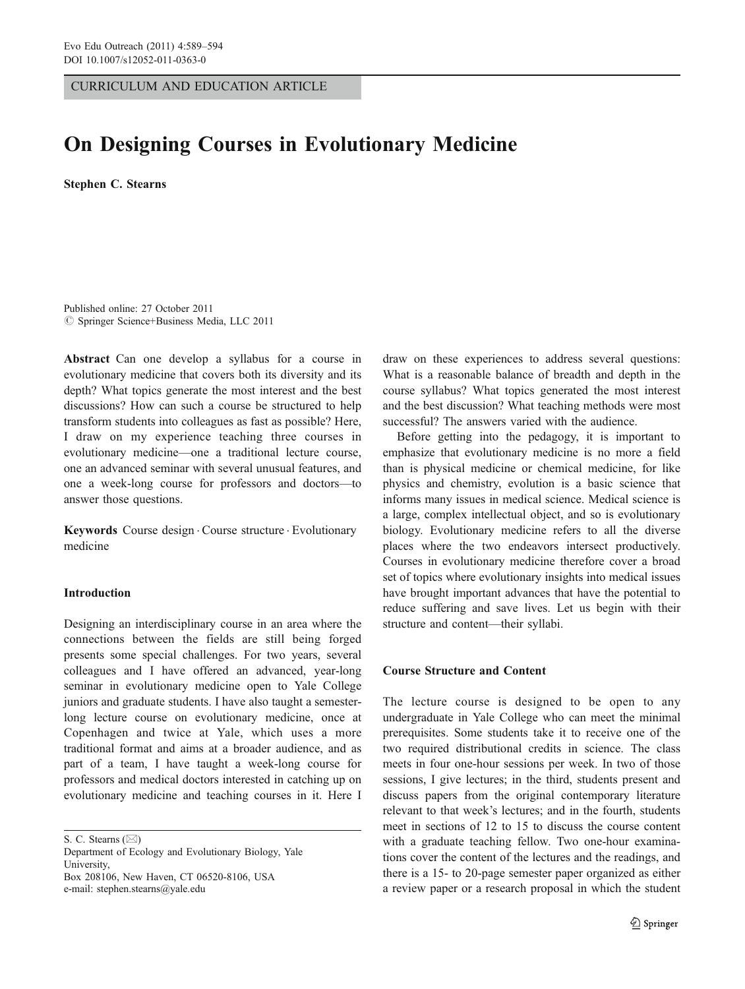<span id="page-0-0"></span>CURRICULUM AND EDUCATION ARTICLE

# On Designing Courses in Evolutionary Medicine

Stephen C. Stearns

Published online: 27 October 2011  $©$  Springer Science+Business Media, LLC 2011

Abstract Can one develop a syllabus for a course in evolutionary medicine that covers both its diversity and its depth? What topics generate the most interest and the best discussions? How can such a course be structured to help transform students into colleagues as fast as possible? Here, I draw on my experience teaching three courses in evolutionary medicine—one a traditional lecture course, one an advanced seminar with several unusual features, and one a week-long course for professors and doctors—to answer those questions.

Keywords Course design . Course structure . Evolutionary medicine

#### Introduction

Designing an interdisciplinary course in an area where the connections between the fields are still being forged presents some special challenges. For two years, several colleagues and I have offered an advanced, year-long seminar in evolutionary medicine open to Yale College juniors and graduate students. I have also taught a semesterlong lecture course on evolutionary medicine, once at Copenhagen and twice at Yale, which uses a more traditional format and aims at a broader audience, and as part of a team, I have taught a week-long course for professors and medical doctors interested in catching up on evolutionary medicine and teaching courses in it. Here I

S. C. Stearns  $(\boxtimes)$ 

Department of Ecology and Evolutionary Biology, Yale University, Box 208106, New Haven, CT 06520-8106, USA e-mail: stephen.stearns@yale.edu

draw on these experiences to address several questions: What is a reasonable balance of breadth and depth in the course syllabus? What topics generated the most interest and the best discussion? What teaching methods were most successful? The answers varied with the audience.

Before getting into the pedagogy, it is important to emphasize that evolutionary medicine is no more a field than is physical medicine or chemical medicine, for like physics and chemistry, evolution is a basic science that informs many issues in medical science. Medical science is a large, complex intellectual object, and so is evolutionary biology. Evolutionary medicine refers to all the diverse places where the two endeavors intersect productively. Courses in evolutionary medicine therefore cover a broad set of topics where evolutionary insights into medical issues have brought important advances that have the potential to reduce suffering and save lives. Let us begin with their structure and content—their syllabi.

#### Course Structure and Content

The lecture course is designed to be open to any undergraduate in Yale College who can meet the minimal prerequisites. Some students take it to receive one of the two required distributional credits in science. The class meets in four one-hour sessions per week. In two of those sessions, I give lectures; in the third, students present and discuss papers from the original contemporary literature relevant to that week's lectures; and in the fourth, students meet in sections of 12 to 15 to discuss the course content with a graduate teaching fellow. Two one-hour examinations cover the content of the lectures and the readings, and there is a 15- to 20-page semester paper organized as either a review paper or a research proposal in which the student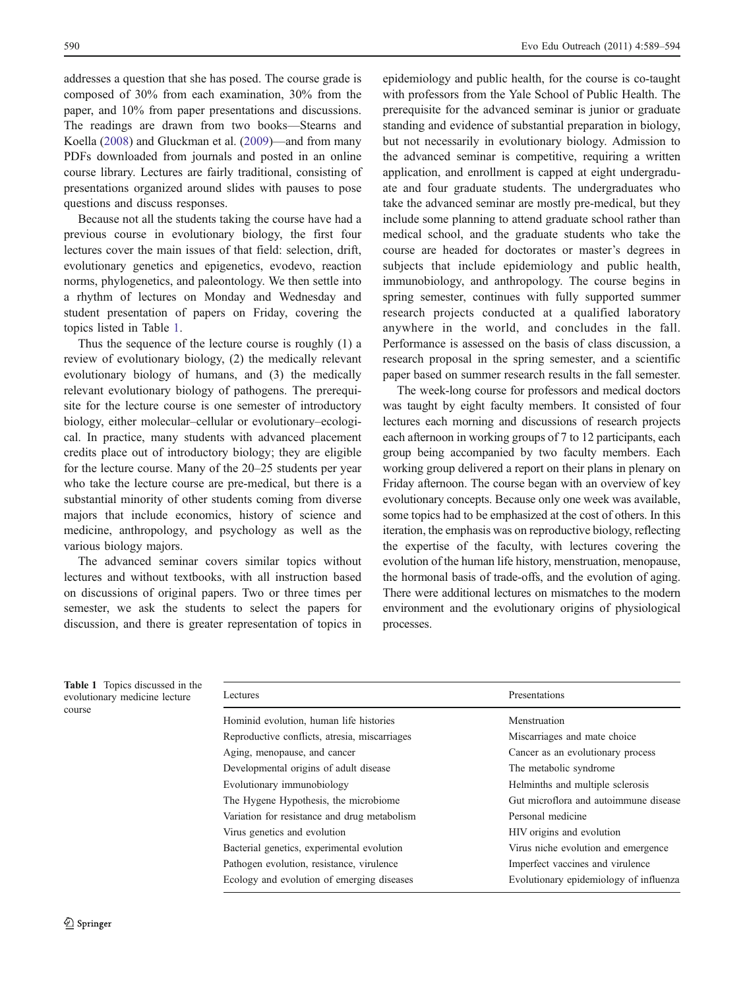addresses a question that she has posed. The course grade is composed of 30% from each examination, 30% from the paper, and 10% from paper presentations and discussions. The readings are drawn from two books—Stearns and Koella [\(2008](#page-5-0)) and Gluckman et al. [\(2009](#page-5-0))—and from many PDFs downloaded from journals and posted in an online course library. Lectures are fairly traditional, consisting of presentations organized around slides with pauses to pose questions and discuss responses.

Because not all the students taking the course have had a previous course in evolutionary biology, the first four lectures cover the main issues of that field: selection, drift, evolutionary genetics and epigenetics, evodevo, reaction norms, phylogenetics, and paleontology. We then settle into a rhythm of lectures on Monday and Wednesday and student presentation of papers on Friday, covering the topics listed in Table 1.

Thus the sequence of the lecture course is roughly (1) a review of evolutionary biology, (2) the medically relevant evolutionary biology of humans, and (3) the medically relevant evolutionary biology of pathogens. The prerequisite for the lecture course is one semester of introductory biology, either molecular–cellular or evolutionary–ecological. In practice, many students with advanced placement credits place out of introductory biology; they are eligible for the lecture course. Many of the 20–25 students per year who take the lecture course are pre-medical, but there is a substantial minority of other students coming from diverse majors that include economics, history of science and medicine, anthropology, and psychology as well as the various biology majors.

The advanced seminar covers similar topics without lectures and without textbooks, with all instruction based on discussions of original papers. Two or three times per semester, we ask the students to select the papers for discussion, and there is greater representation of topics in epidemiology and public health, for the course is co-taught with professors from the Yale School of Public Health. The prerequisite for the advanced seminar is junior or graduate standing and evidence of substantial preparation in biology, but not necessarily in evolutionary biology. Admission to the advanced seminar is competitive, requiring a written application, and enrollment is capped at eight undergraduate and four graduate students. The undergraduates who take the advanced seminar are mostly pre-medical, but they include some planning to attend graduate school rather than medical school, and the graduate students who take the course are headed for doctorates or master's degrees in subjects that include epidemiology and public health, immunobiology, and anthropology. The course begins in spring semester, continues with fully supported summer research projects conducted at a qualified laboratory anywhere in the world, and concludes in the fall. Performance is assessed on the basis of class discussion, a research proposal in the spring semester, and a scientific paper based on summer research results in the fall semester.

The week-long course for professors and medical doctors was taught by eight faculty members. It consisted of four lectures each morning and discussions of research projects each afternoon in working groups of 7 to 12 participants, each group being accompanied by two faculty members. Each working group delivered a report on their plans in plenary on Friday afternoon. The course began with an overview of key evolutionary concepts. Because only one week was available, some topics had to be emphasized at the cost of others. In this iteration, the emphasis was on reproductive biology, reflecting the expertise of the faculty, with lectures covering the evolution of the human life history, menstruation, menopause, the hormonal basis of trade-offs, and the evolution of aging. There were additional lectures on mismatches to the modern environment and the evolutionary origins of physiological processes.

| cine lecture | Lectures                                      | Presentations                          |
|--------------|-----------------------------------------------|----------------------------------------|
|              | Hominid evolution, human life histories       | Menstruation                           |
|              | Reproductive conflicts, atresia, miscarriages | Miscarriages and mate choice           |
|              | Aging, menopause, and cancer                  | Cancer as an evolutionary process      |
|              | Developmental origins of adult disease        | The metabolic syndrome                 |
|              | Evolutionary immunobiology                    | Helminths and multiple sclerosis       |
|              | The Hygene Hypothesis, the microbiome         | Gut microflora and autoimmune disease  |
|              | Variation for resistance and drug metabolism  | Personal medicine                      |
|              | Virus genetics and evolution                  | HIV origins and evolution              |
|              | Bacterial genetics, experimental evolution    | Virus niche evolution and emergence    |
|              | Pathogen evolution, resistance, virulence     | Imperfect vaccines and virulence       |
|              | Ecology and evolution of emerging diseases    | Evolutionary epidemiology of influenza |

Table 1 Topics discussed in the evolutionary medi course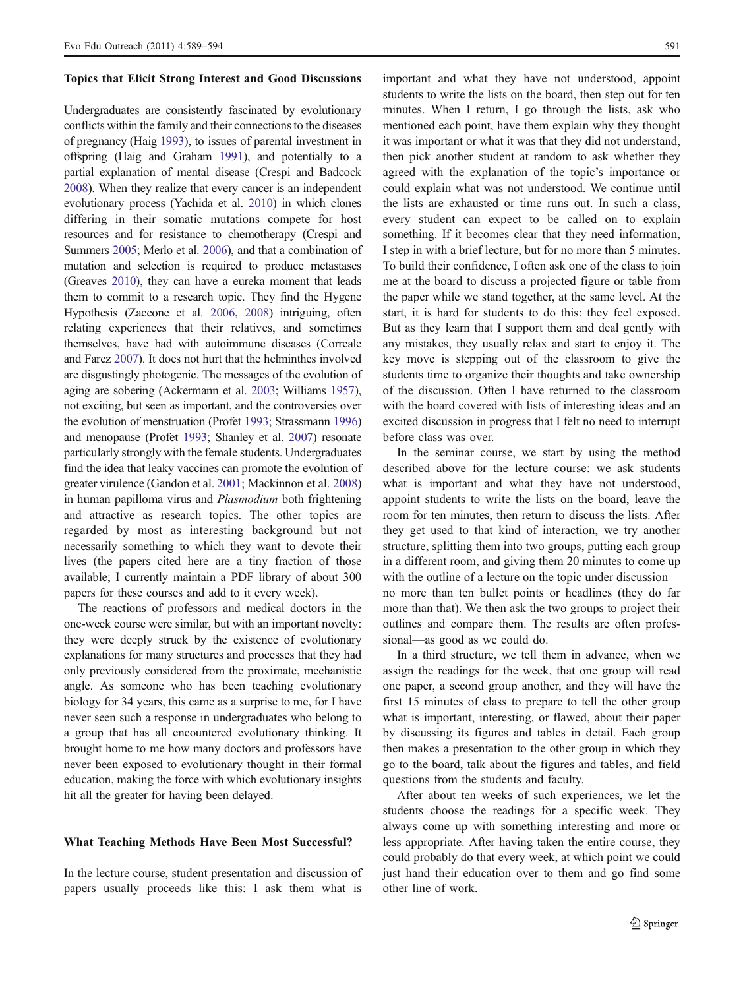#### Topics that Elicit Strong Interest and Good Discussions

Undergraduates are consistently fascinated by evolutionary conflicts within the family and their connections to the diseases of pregnancy (Haig [1993](#page-5-0)), to issues of parental investment in offspring (Haig and Graham [1991\)](#page-5-0), and potentially to a partial explanation of mental disease (Crespi and Badcock [2008](#page-5-0)). When they realize that every cancer is an independent evolutionary process (Yachida et al. [2010](#page-5-0)) in which clones differing in their somatic mutations compete for host resources and for resistance to chemotherapy (Crespi and Summers [2005](#page-5-0); Merlo et al. [2006\)](#page-5-0), and that a combination of mutation and selection is required to produce metastases (Greaves [2010\)](#page-5-0), they can have a eureka moment that leads them to commit to a research topic. They find the Hygene Hypothesis (Zaccone et al. [2006,](#page-5-0) [2008](#page-5-0)) intriguing, often relating experiences that their relatives, and sometimes themselves, have had with autoimmune diseases (Correale and Farez [2007\)](#page-5-0). It does not hurt that the helminthes involved are disgustingly photogenic. The messages of the evolution of aging are sobering (Ackermann et al. [2003](#page-5-0); Williams [1957\)](#page-5-0), not exciting, but seen as important, and the controversies over the evolution of menstruation (Profet [1993;](#page-5-0) Strassmann [1996\)](#page-5-0) and menopause (Profet [1993;](#page-5-0) Shanley et al. [2007](#page-5-0)) resonate particularly strongly with the female students. Undergraduates find the idea that leaky vaccines can promote the evolution of greater virulence (Gandon et al. [2001](#page-5-0); Mackinnon et al. [2008\)](#page-5-0) in human papilloma virus and Plasmodium both frightening and attractive as research topics. The other topics are regarded by most as interesting background but not necessarily something to which they want to devote their lives (the papers cited here are a tiny fraction of those available; I currently maintain a PDF library of about 300 papers for these courses and add to it every week).

The reactions of professors and medical doctors in the one-week course were similar, but with an important novelty: they were deeply struck by the existence of evolutionary explanations for many structures and processes that they had only previously considered from the proximate, mechanistic angle. As someone who has been teaching evolutionary biology for 34 years, this came as a surprise to me, for I have never seen such a response in undergraduates who belong to a group that has all encountered evolutionary thinking. It brought home to me how many doctors and professors have never been exposed to evolutionary thought in their formal education, making the force with which evolutionary insights hit all the greater for having been delayed.

### What Teaching Methods Have Been Most Successful?

In the lecture course, student presentation and discussion of papers usually proceeds like this: I ask them what is

important and what they have not understood, appoint students to write the lists on the board, then step out for ten minutes. When I return, I go through the lists, ask who mentioned each point, have them explain why they thought it was important or what it was that they did not understand, then pick another student at random to ask whether they agreed with the explanation of the topic's importance or could explain what was not understood. We continue until the lists are exhausted or time runs out. In such a class, every student can expect to be called on to explain something. If it becomes clear that they need information, I step in with a brief lecture, but for no more than 5 minutes. To build their confidence, I often ask one of the class to join me at the board to discuss a projected figure or table from the paper while we stand together, at the same level. At the start, it is hard for students to do this: they feel exposed. But as they learn that I support them and deal gently with any mistakes, they usually relax and start to enjoy it. The key move is stepping out of the classroom to give the students time to organize their thoughts and take ownership of the discussion. Often I have returned to the classroom with the board covered with lists of interesting ideas and an excited discussion in progress that I felt no need to interrupt before class was over.

In the seminar course, we start by using the method described above for the lecture course: we ask students what is important and what they have not understood, appoint students to write the lists on the board, leave the room for ten minutes, then return to discuss the lists. After they get used to that kind of interaction, we try another structure, splitting them into two groups, putting each group in a different room, and giving them 20 minutes to come up with the outline of a lecture on the topic under discussion no more than ten bullet points or headlines (they do far more than that). We then ask the two groups to project their outlines and compare them. The results are often professional—as good as we could do.

In a third structure, we tell them in advance, when we assign the readings for the week, that one group will read one paper, a second group another, and they will have the first 15 minutes of class to prepare to tell the other group what is important, interesting, or flawed, about their paper by discussing its figures and tables in detail. Each group then makes a presentation to the other group in which they go to the board, talk about the figures and tables, and field questions from the students and faculty.

After about ten weeks of such experiences, we let the students choose the readings for a specific week. They always come up with something interesting and more or less appropriate. After having taken the entire course, they could probably do that every week, at which point we could just hand their education over to them and go find some other line of work.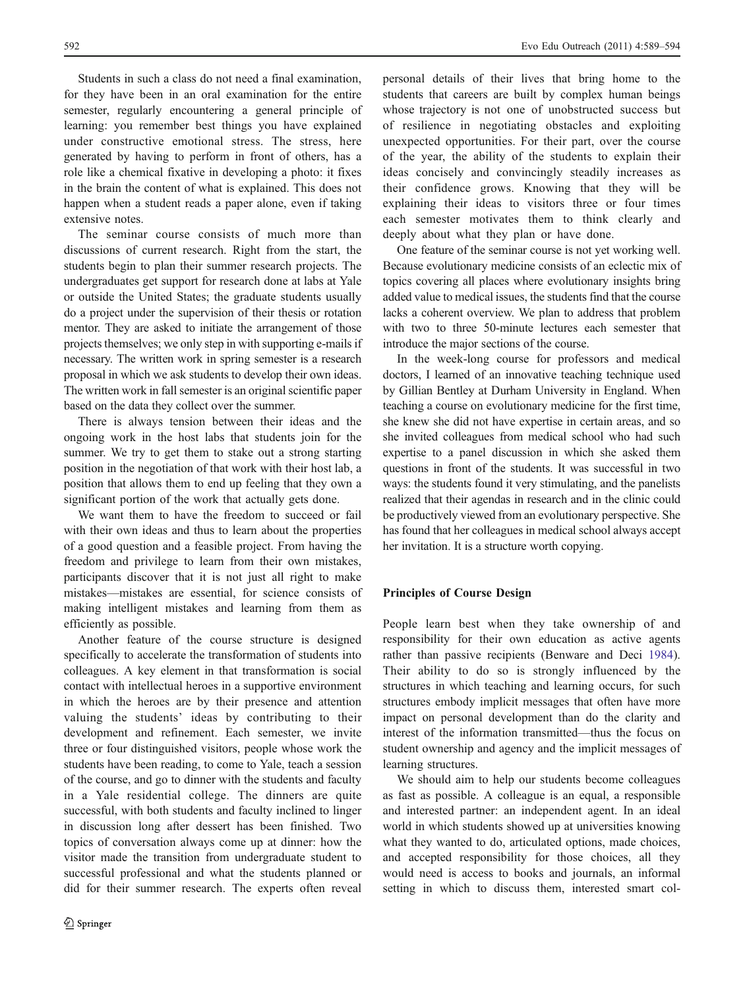Students in such a class do not need a final examination, for they have been in an oral examination for the entire semester, regularly encountering a general principle of learning: you remember best things you have explained under constructive emotional stress. The stress, here generated by having to perform in front of others, has a role like a chemical fixative in developing a photo: it fixes in the brain the content of what is explained. This does not happen when a student reads a paper alone, even if taking extensive notes.

The seminar course consists of much more than discussions of current research. Right from the start, the students begin to plan their summer research projects. The undergraduates get support for research done at labs at Yale or outside the United States; the graduate students usually do a project under the supervision of their thesis or rotation mentor. They are asked to initiate the arrangement of those projects themselves; we only step in with supporting e-mails if necessary. The written work in spring semester is a research proposal in which we ask students to develop their own ideas. The written work in fall semester is an original scientific paper based on the data they collect over the summer.

There is always tension between their ideas and the ongoing work in the host labs that students join for the summer. We try to get them to stake out a strong starting position in the negotiation of that work with their host lab, a position that allows them to end up feeling that they own a significant portion of the work that actually gets done.

We want them to have the freedom to succeed or fail with their own ideas and thus to learn about the properties of a good question and a feasible project. From having the freedom and privilege to learn from their own mistakes, participants discover that it is not just all right to make mistakes—mistakes are essential, for science consists of making intelligent mistakes and learning from them as efficiently as possible.

Another feature of the course structure is designed specifically to accelerate the transformation of students into colleagues. A key element in that transformation is social contact with intellectual heroes in a supportive environment in which the heroes are by their presence and attention valuing the students' ideas by contributing to their development and refinement. Each semester, we invite three or four distinguished visitors, people whose work the students have been reading, to come to Yale, teach a session of the course, and go to dinner with the students and faculty in a Yale residential college. The dinners are quite successful, with both students and faculty inclined to linger in discussion long after dessert has been finished. Two topics of conversation always come up at dinner: how the visitor made the transition from undergraduate student to successful professional and what the students planned or did for their summer research. The experts often reveal

personal details of their lives that bring home to the students that careers are built by complex human beings whose trajectory is not one of unobstructed success but of resilience in negotiating obstacles and exploiting unexpected opportunities. For their part, over the course of the year, the ability of the students to explain their ideas concisely and convincingly steadily increases as their confidence grows. Knowing that they will be explaining their ideas to visitors three or four times each semester motivates them to think clearly and deeply about what they plan or have done.

One feature of the seminar course is not yet working well. Because evolutionary medicine consists of an eclectic mix of topics covering all places where evolutionary insights bring added value to medical issues, the students find that the course lacks a coherent overview. We plan to address that problem with two to three 50-minute lectures each semester that introduce the major sections of the course.

In the week-long course for professors and medical doctors, I learned of an innovative teaching technique used by Gillian Bentley at Durham University in England. When teaching a course on evolutionary medicine for the first time, she knew she did not have expertise in certain areas, and so she invited colleagues from medical school who had such expertise to a panel discussion in which she asked them questions in front of the students. It was successful in two ways: the students found it very stimulating, and the panelists realized that their agendas in research and in the clinic could be productively viewed from an evolutionary perspective. She has found that her colleagues in medical school always accept her invitation. It is a structure worth copying.

## Principles of Course Design

People learn best when they take ownership of and responsibility for their own education as active agents rather than passive recipients (Benware and Deci [1984\)](#page-5-0). Their ability to do so is strongly influenced by the structures in which teaching and learning occurs, for such structures embody implicit messages that often have more impact on personal development than do the clarity and interest of the information transmitted—thus the focus on student ownership and agency and the implicit messages of learning structures.

We should aim to help our students become colleagues as fast as possible. A colleague is an equal, a responsible and interested partner: an independent agent. In an ideal world in which students showed up at universities knowing what they wanted to do, articulated options, made choices, and accepted responsibility for those choices, all they would need is access to books and journals, an informal setting in which to discuss them, interested smart col-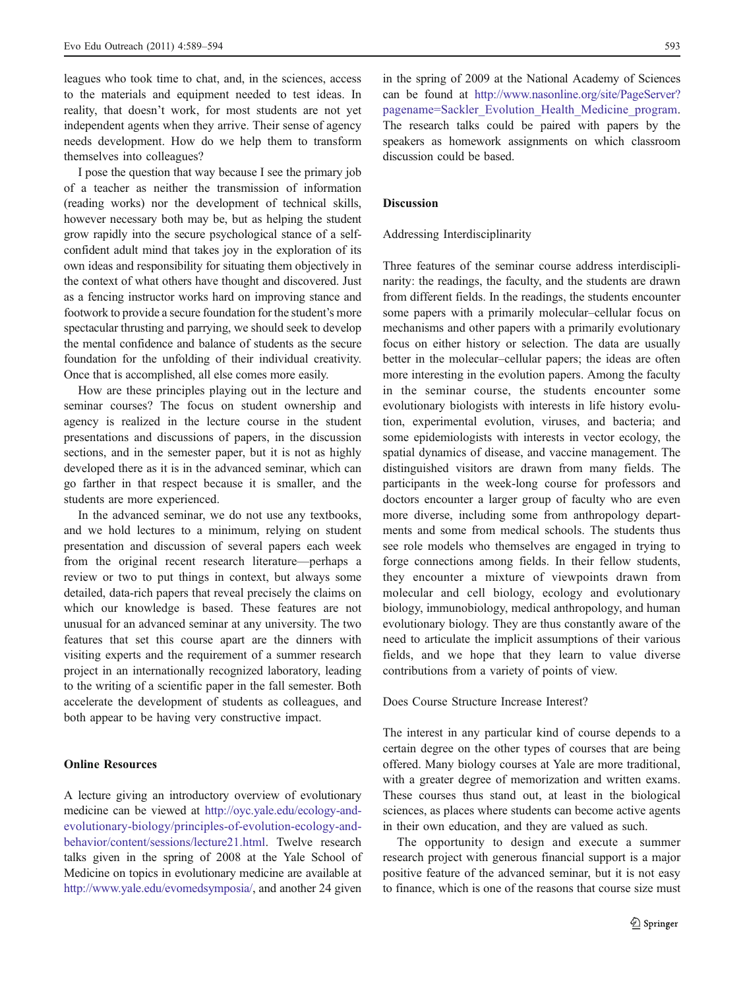leagues who took time to chat, and, in the sciences, access to the materials and equipment needed to test ideas. In reality, that doesn't work, for most students are not yet independent agents when they arrive. Their sense of agency needs development. How do we help them to transform themselves into colleagues?

I pose the question that way because I see the primary job of a teacher as neither the transmission of information (reading works) nor the development of technical skills, however necessary both may be, but as helping the student grow rapidly into the secure psychological stance of a selfconfident adult mind that takes joy in the exploration of its own ideas and responsibility for situating them objectively in the context of what others have thought and discovered. Just as a fencing instructor works hard on improving stance and footwork to provide a secure foundation for the student's more spectacular thrusting and parrying, we should seek to develop the mental confidence and balance of students as the secure foundation for the unfolding of their individual creativity. Once that is accomplished, all else comes more easily.

How are these principles playing out in the lecture and seminar courses? The focus on student ownership and agency is realized in the lecture course in the student presentations and discussions of papers, in the discussion sections, and in the semester paper, but it is not as highly developed there as it is in the advanced seminar, which can go farther in that respect because it is smaller, and the students are more experienced.

In the advanced seminar, we do not use any textbooks, and we hold lectures to a minimum, relying on student presentation and discussion of several papers each week from the original recent research literature—perhaps a review or two to put things in context, but always some detailed, data-rich papers that reveal precisely the claims on which our knowledge is based. These features are not unusual for an advanced seminar at any university. The two features that set this course apart are the dinners with visiting experts and the requirement of a summer research project in an internationally recognized laboratory, leading to the writing of a scientific paper in the fall semester. Both accelerate the development of students as colleagues, and both appear to be having very constructive impact.

#### Online Resources

A lecture giving an introductory overview of evolutionary medicine can be viewed at [http://oyc.yale.edu/ecology-and](http://oyc.yale.edu/ecology-and-evolutionary-biology/principles-of-evolution-ecology-and-behavior/content/sessions/lecture21.html)[evolutionary-biology/principles-of-evolution-ecology-and](http://oyc.yale.edu/ecology-and-evolutionary-biology/principles-of-evolution-ecology-and-behavior/content/sessions/lecture21.html)[behavior/content/sessions/lecture21.html](http://oyc.yale.edu/ecology-and-evolutionary-biology/principles-of-evolution-ecology-and-behavior/content/sessions/lecture21.html). Twelve research talks given in the spring of 2008 at the Yale School of Medicine on topics in evolutionary medicine are available at [http://www.yale.edu/evomedsymposia/,](http://www.yale.edu/evomedsymposia/) and another 24 given

in the spring of 2009 at the National Academy of Sciences can be found at [http://www.nasonline.org/site/PageServer?](http://www.nasonline.org/site/PageServer?pagename=Sackler_Evolution_Health_Medicine_program) [pagename=Sackler\\_Evolution\\_Health\\_Medicine\\_program.](http://www.nasonline.org/site/PageServer?pagename=Sackler_Evolution_Health_Medicine_program) The research talks could be paired with papers by the speakers as homework assignments on which classroom discussion could be based.

## Discussion

## Addressing Interdisciplinarity

Three features of the seminar course address interdisciplinarity: the readings, the faculty, and the students are drawn from different fields. In the readings, the students encounter some papers with a primarily molecular–cellular focus on mechanisms and other papers with a primarily evolutionary focus on either history or selection. The data are usually better in the molecular–cellular papers; the ideas are often more interesting in the evolution papers. Among the faculty in the seminar course, the students encounter some evolutionary biologists with interests in life history evolution, experimental evolution, viruses, and bacteria; and some epidemiologists with interests in vector ecology, the spatial dynamics of disease, and vaccine management. The distinguished visitors are drawn from many fields. The participants in the week-long course for professors and doctors encounter a larger group of faculty who are even more diverse, including some from anthropology departments and some from medical schools. The students thus see role models who themselves are engaged in trying to forge connections among fields. In their fellow students, they encounter a mixture of viewpoints drawn from molecular and cell biology, ecology and evolutionary biology, immunobiology, medical anthropology, and human evolutionary biology. They are thus constantly aware of the need to articulate the implicit assumptions of their various fields, and we hope that they learn to value diverse contributions from a variety of points of view.

Does Course Structure Increase Interest?

The interest in any particular kind of course depends to a certain degree on the other types of courses that are being offered. Many biology courses at Yale are more traditional, with a greater degree of memorization and written exams. These courses thus stand out, at least in the biological sciences, as places where students can become active agents in their own education, and they are valued as such.

The opportunity to design and execute a summer research project with generous financial support is a major positive feature of the advanced seminar, but it is not easy to finance, which is one of the reasons that course size must